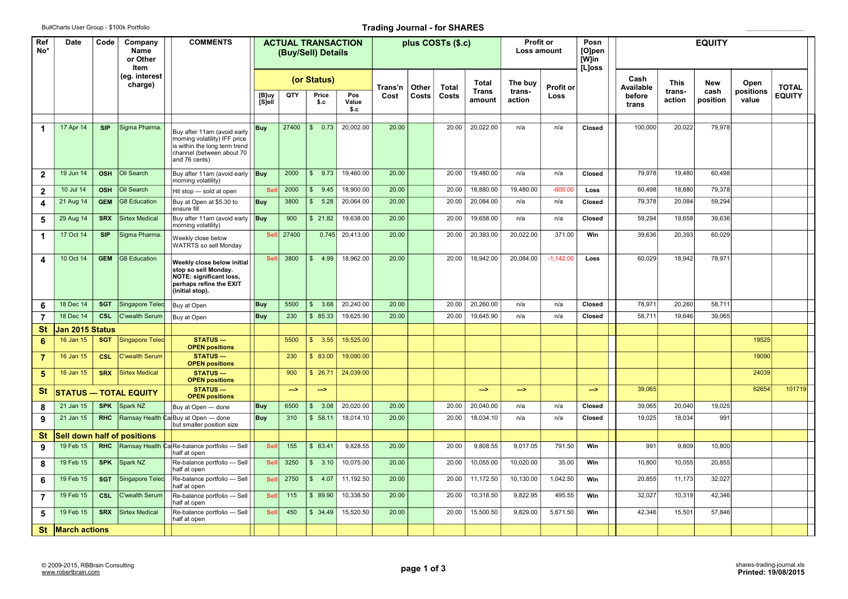## BullCharts User Group - \$100k Portfolio **Trading Journal - for SHARES Trading Journal - for SHARES**

| Ref<br>No*           | Date                 | Code                     | Company<br>Name<br>or Other<br>Item | <b>COMMENTS</b>                                                                                                                             |             |               | <b>ACTUAL TRANSACTION</b><br>(Buy/Sell) Details |           |         |       | plus COSTs (\$.c) |                  | Profit or<br>Loss amount |             | Posn<br>[O]pen<br>[W]in<br>[L]oss |                   |                  |                    |               |              |
|----------------------|----------------------|--------------------------|-------------------------------------|---------------------------------------------------------------------------------------------------------------------------------------------|-------------|---------------|-------------------------------------------------|-----------|---------|-------|-------------------|------------------|--------------------------|-------------|-----------------------------------|-------------------|------------------|--------------------|---------------|--------------|
|                      |                      | (eg. interest<br>charge) |                                     |                                                                                                                                             | (or Status) |               |                                                 |           | Trans'n | Other | Total             | <b>Total</b>     | The buy                  | Profit or   |                                   | Cash<br>Available | This             | <b>New</b>         | Open          | <b>TOTAL</b> |
|                      |                      |                          |                                     | [B]uy<br>[S]ell                                                                                                                             | QTY         | Price<br>\$.c | Pos<br>Value<br>S.C                             | Cost      | Costs   | Costs | Trans<br>amount   | trans-<br>action | Loss                     |             | before<br>trans                   | trans-<br>action  | cash<br>position | positions<br>value | <b>EQUITY</b> |              |
| $\blacktriangleleft$ | 17 Apr 14            | <b>SIP</b>               | Sigma Pharma.                       |                                                                                                                                             | <b>Buy</b>  | 27400         | \$ 0.73                                         | 20,002.00 | 20.00   |       | 20.00             | 20,022.00        | n/a                      | n/a         | Closed                            | 100,000           | 20,022           | 79,978             |               |              |
|                      |                      |                          |                                     | Buy after 11am (avoid early<br>morning volatility) IFF price<br>is within the long term trend<br>channel (between about 70<br>and 76 cents) |             |               |                                                 |           |         |       |                   |                  |                          |             |                                   |                   |                  |                    |               |              |
| $\overline{2}$       | 19 Jun 14            | <b>OSH</b>               | Oil Search                          | Buy after 11am (avoid early<br>morning volatility)                                                                                          | <b>Buy</b>  | 2000          | \$9.73                                          | 19,460.00 | 20.00   |       | 20.00             | 19,480.00        | n/a                      | n/a         | Closed                            | 79,978            | 19,480           | 60,498             |               |              |
| $\mathbf{2}$         | 10 Jul 14            | <b>OSH</b>               | Oil Search                          | Hit stop - sold at open                                                                                                                     | <b>Se</b>   | 2000          | \$9.45                                          | 18,900.00 | 20.00   |       | 20.00             | 18,880.00        | 19,480.00                | $-600.00$   | Loss                              | 60,498            | 18,880           | 79,378             |               |              |
| 4                    | 21 Aug 14            | <b>GEM</b>               | <b>G8 Education</b>                 | Buy at Open at \$5.30 to<br>ensure fill                                                                                                     | <b>Buy</b>  | 3800          | \$5.28                                          | 20,064.00 | 20.00   |       | 20.00             | 20,084.00        | n/a                      | n/a         | Closed                            | 79,378            | 20,084           | 59,294             |               |              |
| 5                    | 29 Aug 14            | <b>SRX</b>               | <b>Sirtex Medical</b>               | Buy after 11am (avoid early<br>morning volatility)                                                                                          | <b>Buy</b>  | 900           | \$21.82                                         | 19,638.00 | 20.00   |       | 20.00             | 19,658.00        | n/a                      | n/a         | Closed                            | 59,294            | 19,658           | 39,636             |               |              |
| 1                    | 17 Oct 14            | <b>SIP</b>               | Sigma Pharma.                       | Weekly close below<br><b>WATRTS</b> so sell Monday                                                                                          | <b>Se</b>   | 27400         | 0.745                                           | 20,413.00 | 20.00   |       | 20.00             | 20,393.00        | 20,022.00                | 371.00      | Win                               | 39,636            | 20,393           | 60,029             |               |              |
| 4                    | 10 Oct 14            | <b>GEM</b>               | <b>G8 Education</b>                 | Weekly close below initial<br>stop so sell Mondav.<br><b>NOTE: significant loss,</b><br>perhaps refine the EXIT<br>(initial stop).          | Sel         | 3800          | \$ 4.99                                         | 18,962.00 | 20.00   |       | 20.00             | 18.942.00        | 20,084.00                | $-1,142.00$ | Loss                              | 60,029            | 18,942           | 78,971             |               |              |
| 6                    | 18 Dec 14            | <b>SGT</b>               | Singapore Telec                     | Buy at Open                                                                                                                                 | <b>Buy</b>  | 5500          | \$3.68                                          | 20,240.00 | 20.00   |       | 20.00             | 20,260.00        | n/a                      | n/a         | Closed                            | 78,971            | 20,260           | 58,711             |               |              |
| $\overline{7}$       | 18 Dec 14            | <b>CSL</b>               | <b>C'wealth Serum</b>               | Buy at Open                                                                                                                                 | <b>Buy</b>  | 230           | \$85.33                                         | 19,625.90 | 20.00   |       | 20.00             | 19,645.90        | n/a                      | n/a         | Closed                            | 58.711            | 19.646           | 39.065             |               |              |
| <b>St</b>            | Jan 2015 Status      |                          |                                     |                                                                                                                                             |             |               |                                                 |           |         |       |                   |                  |                          |             |                                   |                   |                  |                    |               |              |
| 6                    | 16 Jan 15            | <b>SGT</b>               | Singapore Telec                     | $STATUS -$<br><b>OPEN positions</b>                                                                                                         |             | 5500          | \$3.55                                          | 19,525.00 |         |       |                   |                  |                          |             |                                   |                   |                  |                    | 19525         |              |
| $\overline{7}$       | 16 Jan 15            | <b>CSL</b>               | C'wealth Serum                      | <b>STATUS-</b><br><b>OPEN positions</b>                                                                                                     |             | 230           | \$83.00                                         | 19,090.00 |         |       |                   |                  |                          |             |                                   |                   |                  |                    | 19090         |              |
| 5                    | 16 Jan 15            | <b>SRX</b>               | <b>Sirtex Medical</b>               | <b>STATUS-</b><br><b>OPEN positions</b>                                                                                                     |             | 900           | \$26.71                                         | 24,039.00 |         |       |                   |                  |                          |             |                                   |                   |                  |                    | 24039         |              |
| St                   |                      |                          | STATUS — TOTAL EQUITY               | <b>STATUS-</b><br><b>OPEN positions</b>                                                                                                     |             | $\rightarrow$ | $\rightarrow$                                   |           |         |       |                   | $\rightarrow$    | $\rightarrow$            |             | $\rightarrow$                     | 39,065            |                  |                    | 62654         | 101719       |
| 8                    | 21 Jan 15            | <b>SPK</b>               | Spark NZ                            | Buy at Open - done                                                                                                                          | <b>Buy</b>  | 6500          | \$3.08                                          | 20,020.00 | 20.00   |       | 20.00             | 20,040.00        | n/a                      | n/a         | Closed                            | 39,065            | 20,040           | 19,025             |               |              |
| 9                    | 21 Jan 15            | <b>RHC</b>               |                                     | Ramsay Health Ca Buy at Open - done<br>but smaller position size                                                                            | <b>Buy</b>  | 310           | \$58.11                                         | 18,014.10 | 20.00   |       | 20.00             | 18,034.10        | n/a                      | n/a         | Closed                            | 19,025            | 18,034           | 991                |               |              |
| St                   |                      |                          | Sell down half of positions         |                                                                                                                                             |             |               |                                                 |           |         |       |                   |                  |                          |             |                                   |                   |                  |                    |               |              |
| 9                    | 19 Feb 15            | <b>RHC</b>               |                                     | Ramsay Health CalRe-balance portfolio - Sell<br>half at open                                                                                | Sel         | 155           | \$63.41                                         | 9,828.55  | 20.00   |       | 20.00             | 9,808.55         | 9,017.05                 | 791.50      | Win                               | 991               | 9,809            | 10,800             |               |              |
| 8                    | 19 Feb 15            | <b>SPK</b>               | Spark NZ                            | Re-balance portfolio - Sell<br>half at open                                                                                                 | Sel         | 3250          | \$3.10                                          | 10,075.00 | 20.00   |       | 20.00             | 10,055.00        | 10,020.00                | 35.00       | Win                               | 10,800            | 10,055           | 20,855             |               |              |
| 6                    | 19 Feb 15            | <b>SGT</b>               | Singapore Telec                     | Re-balance portfolio - Sell<br>half at open                                                                                                 | Sel         | 2750          | \$ 4.07                                         | 11,192.50 | 20.00   |       | 20.00             | 11,172.50        | 10,130.00                | 1,042.50    | Win                               | 20,855            | 11,173           | 32,027             |               |              |
| 7                    | 19 Feb 15            | <b>CSL</b>               | C'wealth Serum                      | Re-balance portfolio - Sell<br>half at open                                                                                                 | Sel         | 115           | \$89.90                                         | 10,338.50 | 20.00   |       | 20.00             | 10,318.50        | 9,822.95                 | 495.55      | Win                               | 32,027            | 10,319           | 42,346             |               |              |
| 5                    | 19 Feb 15            | <b>SRX</b>               | <b>Sirtex Medical</b>               | Re-balance portfolio - Sell<br>half at open                                                                                                 | Sel         | 450           | \$34.49                                         | 15,520.50 | 20.00   |       | 20.00             | 15,500.50        | 9,829.00                 | 5,671.50    | Win                               | 42.346            | 15,501           | 57,846             |               |              |
| <b>St</b>            | <b>March actions</b> |                          |                                     |                                                                                                                                             |             |               |                                                 |           |         |       |                   |                  |                          |             |                                   |                   |                  |                    |               |              |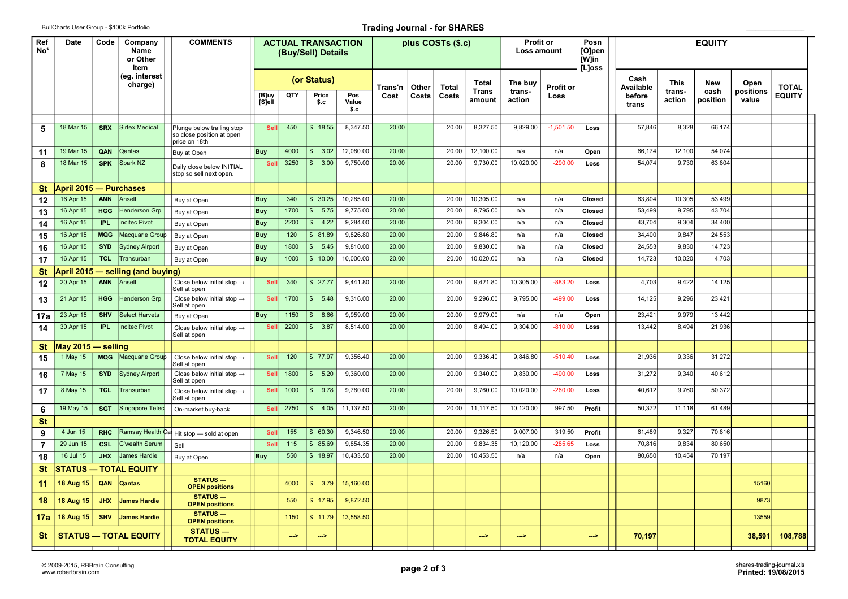## BullCharts User Group - \$100k Portfolio **Trading Journal - for SHARES Trading Journal - for SHARES**

| Ref<br>No*     | Date                                | Code<br>Company<br>Name<br>or Other<br>Item<br>(eg. interest<br>charge) |                                        | <b>COMMENTS</b>                                                          |                 |             | <b>ACTUAL TRANSACTION</b><br>(Buy/Sell) Details |                     |       |              | plus COSTs (\$.c) |                        | <b>Profit or</b><br>Loss amount |             | Posn<br>[O]pen<br>[W]in<br>[L]oss |                 |                  | <b>EQUITY</b>    |                    |               |  |  |
|----------------|-------------------------------------|-------------------------------------------------------------------------|----------------------------------------|--------------------------------------------------------------------------|-----------------|-------------|-------------------------------------------------|---------------------|-------|--------------|-------------------|------------------------|---------------------------------|-------------|-----------------------------------|-----------------|------------------|------------------|--------------------|---------------|--|--|
|                |                                     |                                                                         |                                        |                                                                          |                 | (or Status) |                                                 | Trans'n             | Other | <b>Total</b> | Total             | The buv                | <b>Profit or</b>                |             | Cash<br>Available                 | <b>This</b>     | <b>New</b>       | Open             | <b>TOTAL</b>       |               |  |  |
|                |                                     |                                                                         |                                        |                                                                          | [B]uy<br>[S]ell | QTY         | Price<br>\$.c                                   | Pos<br>Value<br>\$c | Cost  | Costs        | Costs             | <b>Trans</b><br>amount | trans-<br>action                | Loss        |                                   | before<br>trans | trans-<br>action | cash<br>position | positions<br>value | <b>EQUITY</b> |  |  |
|                | 18 Mar 15                           |                                                                         | <b>Sirtex Medical</b>                  |                                                                          |                 | 450         | \$18.55                                         | 8,347.50            | 20.00 |              | 20.00             | 8,327.50               | 9,829.00                        | $-1,501.50$ |                                   | 57,846          | 8,328            | 66,174           |                    |               |  |  |
| 5              |                                     | <b>SRX</b>                                                              |                                        | Plunge below trailing stop<br>so close position at open<br>price on 18th | Sell            |             |                                                 |                     |       |              |                   |                        |                                 |             | Loss                              |                 |                  |                  |                    |               |  |  |
| 11             | 19 Mar 15                           | QAN                                                                     | Qantas                                 | Buy at Open                                                              | <b>Buy</b>      | 4000        | \$3.02                                          | 12,080.00           | 20.00 |              | 20.00             | 12,100.00              | n/a                             | n/a         | Open                              | 66,174          | 12,100           | 54,074           |                    |               |  |  |
| 8              | 18 Mar 15                           | <b>SPK</b>                                                              | Spark NZ                               | Daily close below INITIAL<br>stop so sell next open.                     | Sel             | 3250        | \$3.00                                          | 9,750.00            | 20.00 |              | 20.00             | 9,730.00               | 10,020.00                       | $-290.00$   | Loss                              | 54,074          | 9,730            | 63,804           |                    |               |  |  |
| St             | <b>April 2015 — Purchases</b>       |                                                                         |                                        |                                                                          |                 |             |                                                 |                     |       |              |                   |                        |                                 |             |                                   |                 |                  |                  |                    |               |  |  |
| 12             | 16 Apr 15                           | <b>ANN</b>                                                              | Ansell                                 | Buy at Open                                                              | <b>Buy</b>      | 340         | \$30.25                                         | 10,285.00           | 20.00 |              | 20.00             | 10,305.00              | n/a                             | n/a         | Closed                            | 63,804          | 10,305           | 53,499           |                    |               |  |  |
| 13             | 16 Apr 15                           | <b>HGG</b>                                                              | <b>Henderson Grp</b>                   | Buy at Open                                                              | <b>Buy</b>      | 1700        | \$5.75                                          | 9.775.00            | 20.00 |              | 20.00             | 9.795.00               | n/a                             | n/a         | Closed                            | 53,499          | 9.795            | 43,704           |                    |               |  |  |
| 14             | 16 Apr 15                           | IPL.                                                                    | <b>Incitec Pivot</b>                   | Buy at Open                                                              | <b>Buy</b>      | 2200        | \$ 4.22                                         | 9,284.00            | 20.00 |              | 20.00             | 9,304.00               | n/a                             | n/a         | Closed                            | 43,704          | 9,304            | 34,400           |                    |               |  |  |
| 15             | 16 Apr 15                           | <b>MQG</b>                                                              | Macquarie Group                        | Buy at Open                                                              | Buy             | 120         | \$81.89                                         | 9,826.80            | 20.00 |              | 20.00             | 9,846.80               | n/a                             | n/a         | Closed                            | 34,400          | 9,847            | 24,553           |                    |               |  |  |
| 16             | 16 Apr 15                           | <b>SYD</b>                                                              | <b>Sydney Airport</b>                  | Buy at Open                                                              | <b>Buy</b>      | 1800        | \$5.45                                          | 9,810.00            | 20.00 |              | 20.00             | 9,830.00               | n/a                             | n/a         | Closed                            | 24,553          | 9,830            | 14,723           |                    |               |  |  |
| 17             | 16 Apr 15                           | <b>TCL</b>                                                              | Fransurban                             | Buy at Open                                                              | <b>Buy</b>      | 1000        | \$10.00                                         | 10,000.00           | 20.00 |              | 20.00             | 10,020.00              | n/a                             | n/a         | Closed                            | 14,723          | 10,020           | 4,703            |                    |               |  |  |
| St             | pril 2015<br>- selling (and buying) |                                                                         |                                        |                                                                          |                 |             |                                                 |                     |       |              |                   |                        |                                 |             |                                   |                 |                  |                  |                    |               |  |  |
| 12             | 20 Apr 15                           | <b>ANN</b>                                                              | Ansell                                 | Close below initial stop $\rightarrow$<br>Sell at open                   | Sell            | 340         | \$27.77                                         | 9,441.80            | 20.00 |              | 20.00             | 9,421.80               | 10,305.00                       | $-883.20$   | Loss                              | 4,703           | 9,422            | 14,125           |                    |               |  |  |
| 13             | 21 Apr 15                           | <b>HGG</b>                                                              | Henderson Grp                          | Close below initial stop $\rightarrow$<br>Sell at open                   | Sel             | 1700        | \$5.48                                          | 9,316.00            | 20.00 |              | 20.00             | 9,296.00               | 9,795.00                        | $-499.00$   | Loss                              | 14,125          | 9,296            | 23,421           |                    |               |  |  |
| 17a            | 23 Apr 15                           | <b>SHV</b>                                                              | <b>Select Harvets</b>                  | Buy at Open                                                              | <b>Buy</b>      | 1150        | \$8.66                                          | 9,959.00            | 20.00 |              | 20.00             | 9,979.00               | n/a                             | n/a         | Open                              | 23,421          | 9,979            | 13,442           |                    |               |  |  |
| 14             | 30 Apr 15                           | <b>IPL</b>                                                              | ncitec Pivot                           | Close below initial stop $\rightarrow$<br>Sell at open                   | <b>Se</b>       | 2200        | \$3.87                                          | 8,514.00            | 20.00 |              | 20.00             | 8,494.00               | 9,304.00                        | $-810.00$   | Loss                              | 13,442          | 8,494            | 21,936           |                    |               |  |  |
| St             | May 2015                            | – selling                                                               |                                        |                                                                          |                 |             |                                                 |                     |       |              |                   |                        |                                 |             |                                   |                 |                  |                  |                    |               |  |  |
| 15             | 1 May 15                            | <b>MQG</b>                                                              | Macquarie Group                        | Close below initial stop $\rightarrow$<br>Sell at open                   | <b>Sell</b>     | 120         | \$77.97                                         | 9.356.40            | 20.00 |              | 20.00             | 9.336.40               | 9.846.80                        | $-510.40$   | Loss                              | 21,936          | 9,336            | 31.272           |                    |               |  |  |
| 16             | 7 May 15                            | <b>SYD</b>                                                              | <b>Sydney Airport</b>                  | Close below initial stop $\rightarrow$<br>Sell at open                   | Sel             | 1800        | \$5.20                                          | 9,360.00            | 20.00 |              | 20.00             | 9,340.00               | 9,830.00                        | $-490.00$   | Loss                              | 31,272          | 9,340            | 40,612           |                    |               |  |  |
| 17             | 8 May 15                            | <b>TCL</b>                                                              | <b>Transurban</b>                      | Close below initial stop $\rightarrow$<br>Sell at open                   | <b>Sel</b>      | 1000        | \$9.78                                          | 9,780.00            | 20.00 |              | 20.00             | 9,760.00               | 10,020.00                       | $-260.00$   | Loss                              | 40,612          | 9,760            | 50,372           |                    |               |  |  |
| 6              | 19 May 15                           | <b>SGT</b>                                                              | Singapore Telec                        | On-market buy-back                                                       | Sel             | 2750        | \$4.05                                          | 11,137.50           | 20.00 |              | 20.00             | 11,117.50              | 10,120.00                       | 997.50      | Profit                            | 50,372          | 11,118           | 61,489           |                    |               |  |  |
| St             |                                     |                                                                         |                                        |                                                                          |                 |             |                                                 |                     |       |              |                   |                        |                                 |             |                                   |                 |                  |                  |                    |               |  |  |
| 9              | 4 Jun 15                            | <b>RHC</b>                                                              |                                        | Ramsay Health Ca Hit stop - sold at open                                 | Sel             | 155         | \$60.30                                         | 9,346.50            | 20.00 |              | 20.00             | 9,326.50               | 9,007.00                        | 319.50      | Profit                            | 61,489          | 9,327            | 70,816           |                    |               |  |  |
| $\overline{7}$ | 29 Jun 15                           | <b>CSL</b>                                                              | C'wealth Serum                         | Sell                                                                     | Sel             | 115         | \$85.69                                         | 9,854.35            | 20.00 |              | 20.00             | 9,834.35               | 10,120.00                       | $-285.65$   | Loss                              | 70,816          | 9,834            | 80,650           |                    |               |  |  |
| 18             | 16 Jul 15                           | <b>JHX</b>                                                              | James Hardie                           | Buy at Open                                                              | <b>Buy</b>      | 550         | \$18.97                                         | 10,433.50           | 20.00 |              | 20.00             | 10,453.50              | n/a                             | n/a         | Open                              | 80,650          | 10,454           | 70,197           |                    |               |  |  |
| St             |                                     |                                                                         | <b>STATUS - TOTAL EQUITY</b>           |                                                                          |                 |             |                                                 |                     |       |              |                   |                        |                                 |             |                                   |                 |                  |                  |                    |               |  |  |
| 11             | 18 Aug 15                           | QAN                                                                     | Qantas                                 | <b>STATUS-</b><br><b>OPEN positions</b>                                  |                 | 4000        | \$3.79                                          | 15,160.00           |       |              |                   |                        |                                 |             |                                   |                 |                  |                  | 15160              |               |  |  |
| 18             | 18 Aug 15                           | <b>JHX</b>                                                              | <b>James Hardie</b>                    | <b>STATUS-</b><br><b>OPEN positions</b>                                  |                 | 550         | \$17.95                                         | 9,872.50            |       |              |                   |                        |                                 |             |                                   |                 |                  |                  | 9873               |               |  |  |
| 17a            | 18 Aug 15                           | <b>SHV</b>                                                              | James Hardie                           | <b>STATUS-</b><br><b>OPEN positions</b>                                  |                 | 1150        | \$11.79                                         | 13,558.50           |       |              |                   |                        |                                 |             |                                   |                 |                  |                  | 13559              |               |  |  |
| St             | <b>STATUS - TOTAL EQUITY</b>        |                                                                         | <b>STATUS —</b><br><b>TOTAL EQUITY</b> |                                                                          | -->             | -->         |                                                 |                     |       |              | -->               | -->                    |                                 | -->         | 70.197                            |                 |                  | 38,591           | 108,788            |               |  |  |